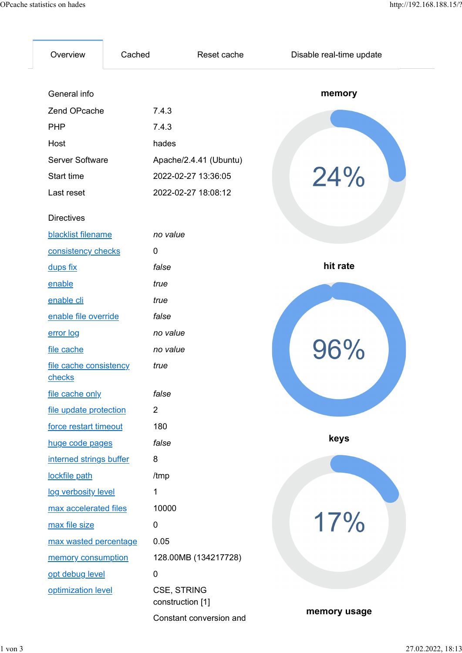| tistics on hades                 |                |                                        | http://192.168.188.15/?  |
|----------------------------------|----------------|----------------------------------------|--------------------------|
| Overview                         | Cached         | Reset cache                            | Disable real-time update |
| General info                     |                |                                        | memory                   |
| Zend OPcache                     | 7.4.3          |                                        |                          |
| <b>PHP</b>                       | 7.4.3          |                                        |                          |
| Host                             | hades          |                                        |                          |
| <b>Server Software</b>           |                | Apache/2.4.41 (Ubuntu)                 |                          |
| Start time                       |                | 2022-02-27 13:36:05                    |                          |
| Last reset                       |                | 2022-02-27 18:08:12                    | 24%                      |
|                                  |                |                                        |                          |
| <b>Directives</b>                |                |                                        |                          |
| blacklist filename               | no value       |                                        |                          |
| consistency checks               | 0              |                                        |                          |
| dups fix                         | false          |                                        | hit rate                 |
| enable                           | true           |                                        |                          |
| enable cli                       | true           |                                        |                          |
| enable file override             | false          |                                        |                          |
| error log                        | no value       |                                        |                          |
| file cache                       | no value       |                                        |                          |
| file cache consistency<br>checks | true           |                                        | 96%                      |
| file cache only                  | false          |                                        |                          |
| file update protection           | $\overline{2}$ |                                        |                          |
| force restart timeout            | 180            |                                        |                          |
| huge code pages                  | false          |                                        | keys                     |
| interned strings buffer          | 8              |                                        |                          |
| lockfile path                    | /tmp           |                                        |                          |
| log verbosity level              | $\mathbf{1}$   |                                        |                          |
| max accelerated files            | 10000          |                                        |                          |
| max file size                    | $\pmb{0}$      |                                        | 17%                      |
| max wasted percentage            | 0.05           |                                        |                          |
| memory consumption               |                | 128.00MB (134217728)                   |                          |
| opt debug level                  | $\pmb{0}$      |                                        |                          |
| optimization level               |                | <b>CSE, STRING</b><br>construction [1] |                          |
|                                  |                | Constant conversion and                | memory usage             |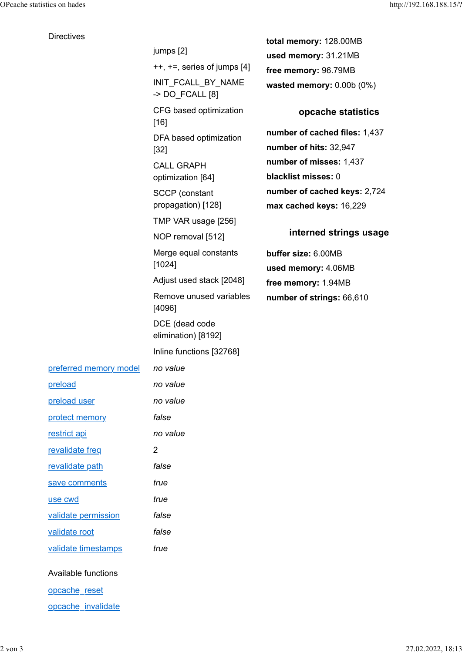**Directives** 

## total memory: 128.00MB used memory: 31.21MB free memory: 96.79MB wasted memory: 0.00b (0%) opcache statistics number of cached files: 1,437 number of hits: 32,947 number of misses: 1,437 CALL GRAPH blacklist misses: 0 number of cached keys: 2,724 max cached keys: 16,229 interned strings usage buffer size: 6.00MB used memory: 4.06MB free memory: 1.94MB Remove unused variables and mother of strings: 66,610 jumps [2] ++, +=, series of jumps [4] INIT\_FCALL\_BY\_NAME -> DO\_FCALL [8] CFG based optimization [16] DFA based optimization [32] optimization [64] SCCP (constant propagation) [128] TMP VAR usage [256] NOP removal [512] Merge equal constants [1024] Adjust used stack [2048] [4096] DCE (dead code elimination) [8192] Inline functions [32768] preferred memory model no value preload no value preload user no value protect memory false restrict api no value revalidate freq 2 revalidate path false save comments true use cwd true validate permission false validate root false validate timestamps true

Available functions

opcache reset

opcache invalidate